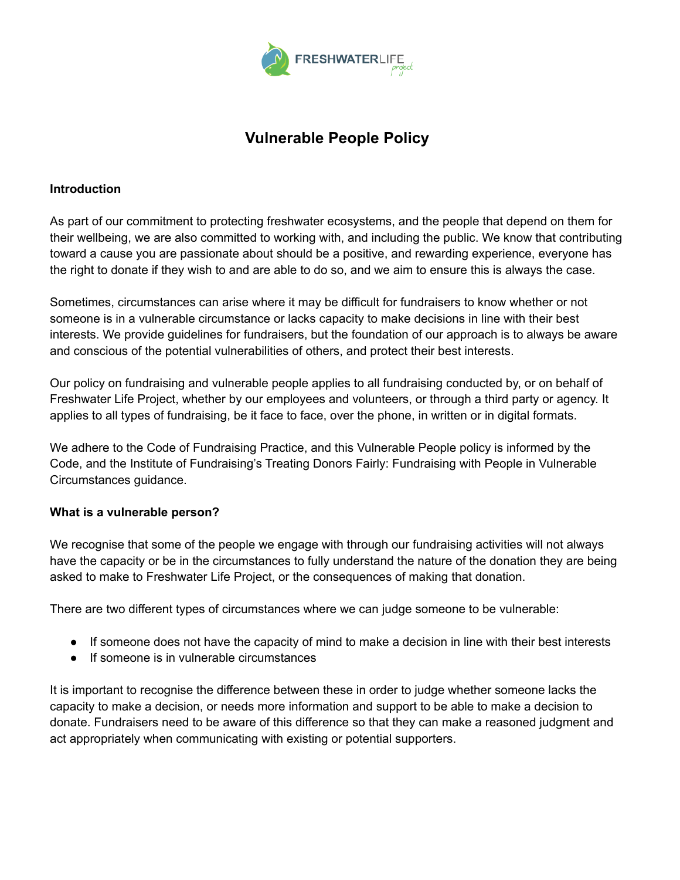

# **Vulnerable People Policy**

#### **Introduction**

As part of our commitment to protecting freshwater ecosystems, and the people that depend on them for their wellbeing, we are also committed to working with, and including the public. We know that contributing toward a cause you are passionate about should be a positive, and rewarding experience, everyone has the right to donate if they wish to and are able to do so, and we aim to ensure this is always the case.

Sometimes, circumstances can arise where it may be difficult for fundraisers to know whether or not someone is in a vulnerable circumstance or lacks capacity to make decisions in line with their best interests. We provide guidelines for fundraisers, but the foundation of our approach is to always be aware and conscious of the potential vulnerabilities of others, and protect their best interests.

Our policy on fundraising and vulnerable people applies to all fundraising conducted by, or on behalf of Freshwater Life Project, whether by our employees and volunteers, or through a third party or agency. It applies to all types of fundraising, be it face to face, over the phone, in written or in digital formats.

We adhere to the Code of Fundraising Practice, and this Vulnerable People policy is informed by the Code, and the Institute of Fundraising's Treating Donors Fairly: Fundraising with People in Vulnerable Circumstances guidance.

#### **What is a vulnerable person?**

We recognise that some of the people we engage with through our fundraising activities will not always have the capacity or be in the circumstances to fully understand the nature of the donation they are being asked to make to Freshwater Life Project, or the consequences of making that donation.

There are two different types of circumstances where we can judge someone to be vulnerable:

- If someone does not have the capacity of mind to make a decision in line with their best interests
- If someone is in vulnerable circumstances

It is important to recognise the difference between these in order to judge whether someone lacks the capacity to make a decision, or needs more information and support to be able to make a decision to donate. Fundraisers need to be aware of this difference so that they can make a reasoned judgment and act appropriately when communicating with existing or potential supporters.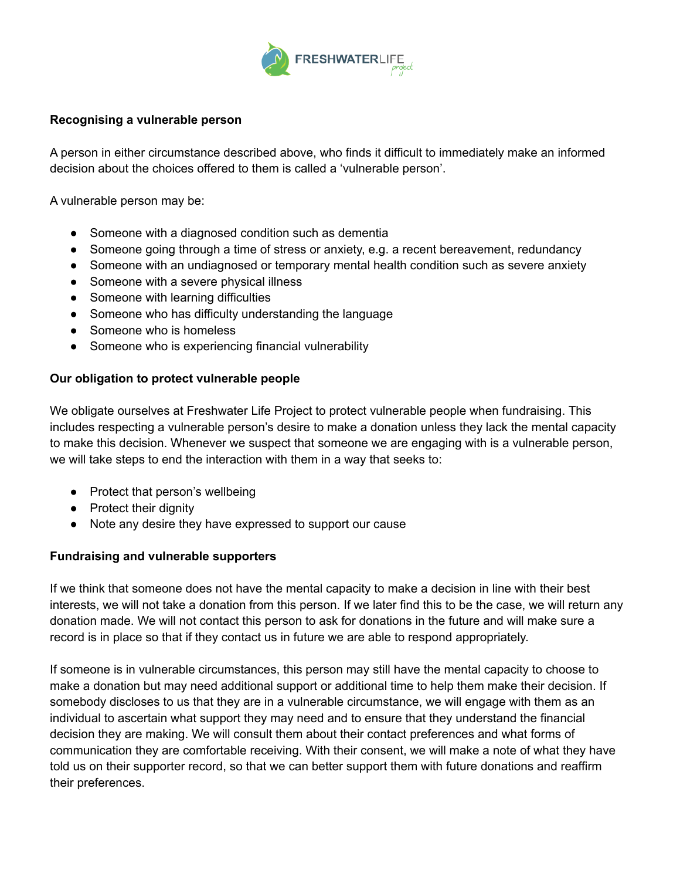

### **Recognising a vulnerable person**

A person in either circumstance described above, who finds it difficult to immediately make an informed decision about the choices offered to them is called a 'vulnerable person'.

A vulnerable person may be:

- Someone with a diagnosed condition such as dementia
- Someone going through a time of stress or anxiety, e.g. a recent bereavement, redundancy
- Someone with an undiagnosed or temporary mental health condition such as severe anxiety
- Someone with a severe physical illness
- Someone with learning difficulties
- Someone who has difficulty understanding the language
- Someone who is homeless
- Someone who is experiencing financial vulnerability

#### **Our obligation to protect vulnerable people**

We obligate ourselves at Freshwater Life Project to protect vulnerable people when fundraising. This includes respecting a vulnerable person's desire to make a donation unless they lack the mental capacity to make this decision. Whenever we suspect that someone we are engaging with is a vulnerable person, we will take steps to end the interaction with them in a way that seeks to:

- Protect that person's wellbeing
- Protect their dignity
- Note any desire they have expressed to support our cause

#### **Fundraising and vulnerable supporters**

If we think that someone does not have the mental capacity to make a decision in line with their best interests, we will not take a donation from this person. If we later find this to be the case, we will return any donation made. We will not contact this person to ask for donations in the future and will make sure a record is in place so that if they contact us in future we are able to respond appropriately.

If someone is in vulnerable circumstances, this person may still have the mental capacity to choose to make a donation but may need additional support or additional time to help them make their decision. If somebody discloses to us that they are in a vulnerable circumstance, we will engage with them as an individual to ascertain what support they may need and to ensure that they understand the financial decision they are making. We will consult them about their contact preferences and what forms of communication they are comfortable receiving. With their consent, we will make a note of what they have told us on their supporter record, so that we can better support them with future donations and reaffirm their preferences.